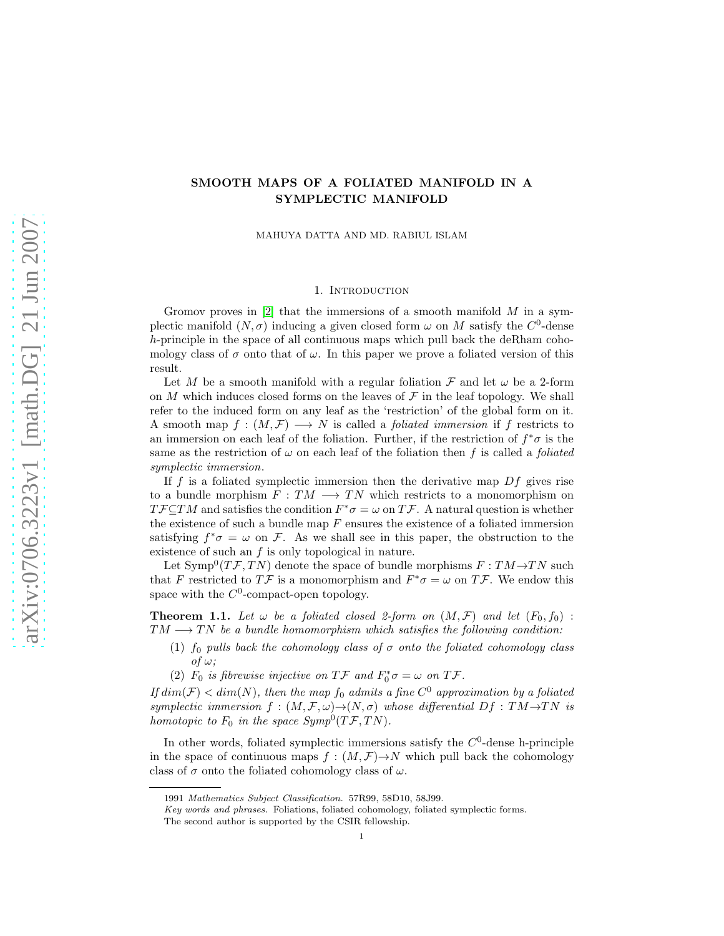# SMOOTH MAPS OF A FOLIATED MANIFOLD IN A SYMPLECTIC MANIFOLD

MAHUYA DATTA AND MD. RABIUL ISLAM

## 1. INTRODUCTION

Gromov proves in  $[2]$  that the immersions of a smooth manifold M in a symplectic manifold  $(N, \sigma)$  inducing a given closed form  $\omega$  on M satisfy the C<sup>0</sup>-dense h-principle in the space of all continuous maps which pull back the deRham cohomology class of  $\sigma$  onto that of  $\omega$ . In this paper we prove a foliated version of this result.

Let M be a smooth manifold with a regular foliation  $\mathcal F$  and let  $\omega$  be a 2-form on M which induces closed forms on the leaves of  $\mathcal F$  in the leaf topology. We shall refer to the induced form on any leaf as the 'restriction' of the global form on it. A smooth map  $f:(M,\mathcal{F})\longrightarrow N$  is called a *foliated immersion* if f restricts to an immersion on each leaf of the foliation. Further, if the restriction of  $f^*\sigma$  is the same as the restriction of  $\omega$  on each leaf of the foliation then f is called a foliated symplectic immersion.

If f is a foliated symplectic immersion then the derivative map  $Df$  gives rise to a bundle morphism  $F: TM \longrightarrow TN$  which restricts to a monomorphism on  $T \mathcal{F} \subseteq TM$  and satisfies the condition  $F^* \sigma = \omega$  on  $T \mathcal{F}$ . A natural question is whether the existence of such a bundle map  $F$  ensures the existence of a foliated immersion satisfying  $f^*\sigma = \omega$  on F. As we shall see in this paper, the obstruction to the existence of such an f is only topological in nature.

Let  $\text{Symp}^0(T\mathcal{F}, TN)$  denote the space of bundle morphisms  $F: TM \rightarrow TN$  such that F restricted to  $T\mathcal{F}$  is a monomorphism and  $F^*\sigma = \omega$  on  $T\mathcal{F}$ . We endow this space with the  $C^0$ -compact-open topology.

**Theorem 1.1.** Let  $\omega$  be a foliated closed 2-form on  $(M, \mathcal{F})$  and let  $(F_0, f_0)$ :  $TM \longrightarrow TN$  be a bundle homomorphism which satisfies the following condition:

- (1)  $f_0$  pulls back the cohomology class of  $\sigma$  onto the foliated cohomology class of  $\omega$ :
- <span id="page-0-0"></span>(2)  $F_0$  is fibrewise injective on  $T\mathcal{F}$  and  $F_0^*\sigma = \omega$  on  $T\mathcal{F}$ .

If  $dim(\mathcal{F}) < dim(N)$ , then the map  $f_0$  admits a fine  $C^0$  approximation by a foliated symplectic immersion  $f : (M, \mathcal{F}, \omega) \to (N, \sigma)$  whose differential  $Df : TM \to TN$  is homotopic to  $F_0$  in the space  $Symp^0(T\mathcal{F}, TN)$ .

In other words, foliated symplectic immersions satisfy the  $C<sup>0</sup>$ -dense h-principle in the space of continuous maps  $f : (M, \mathcal{F}) \rightarrow N$  which pull back the cohomology class of  $\sigma$  onto the foliated cohomology class of  $\omega$ .

<sup>1991</sup> Mathematics Subject Classification. 57R99, 58D10, 58J99.

Key words and phrases. Foliations, foliated cohomology, foliated symplectic forms.

The second author is supported by the CSIR fellowship.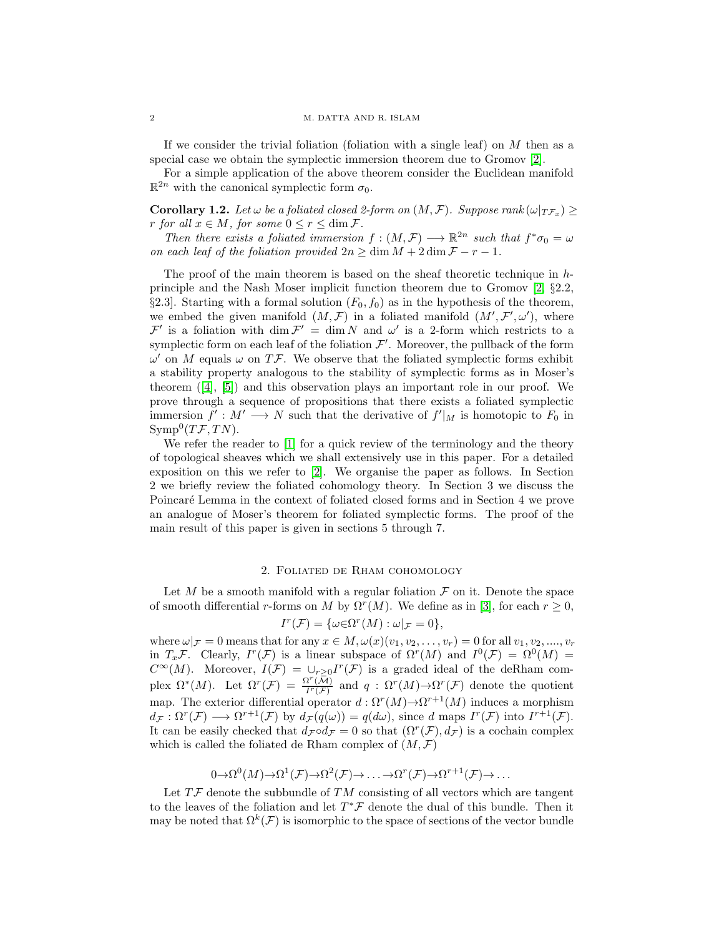If we consider the trivial foliation (foliation with a single leaf) on  $M$  then as a special case we obtain the symplectic immersion theorem due to Gromov [\[2\]](#page-9-0).

For a simple application of the above theorem consider the Euclidean manifold  $\mathbb{R}^{2n}$  with the canonical symplectic form  $\sigma_0$ .

<span id="page-1-0"></span>**Corollary 1.2.** Let  $\omega$  be a foliated closed 2-form on  $(M, \mathcal{F})$ . Suppose rank  $(\omega|_{T\mathcal{F}_x}) \ge$ r for all  $x \in M$ , for some  $0 \le r \le \dim \mathcal{F}$ .

Then there exists a foliated immersion  $f:(M,\mathcal{F})\longrightarrow \mathbb{R}^{2n}$  such that  $f^*\sigma_0=\omega$ on each leaf of the foliation provided  $2n \geq \dim M + 2 \dim \mathcal{F} - r - 1$ .

The proof of the main theorem is based on the sheaf theoretic technique in  $h$ principle and the Nash Moser implicit function theorem due to Gromov [\[2,](#page-9-0) §2.2, §2.3. Starting with a formal solution  $(F_0, f_0)$  as in the hypothesis of the theorem, we embed the given manifold  $(M, \mathcal{F})$  in a foliated manifold  $(M', \mathcal{F}', \omega')$ , where  $\mathcal{F}'$  is a foliation with  $\dim \mathcal{F}' = \dim N$  and  $\omega'$  is a 2-form which restricts to a symplectic form on each leaf of the foliation  $\mathcal{F}'$ . Moreover, the pullback of the form  $\omega'$  on M equals  $\omega$  on TF. We observe that the foliated symplectic forms exhibit a stability property analogous to the stability of symplectic forms as in Moser's theorem $([4], [5])$  $([4], [5])$  $([4], [5])$  $([4], [5])$  $([4], [5])$  and this observation plays an important role in our proof. We prove through a sequence of propositions that there exists a foliated symplectic immersion  $f' : M' \longrightarrow N$  such that the derivative of  $f'|_M$  is homotopic to  $F_0$  in  $\mathrm{Symp}^0(T\mathcal{F}, TN).$ 

We refer the reader to [\[1\]](#page-9-3) for a quick review of the terminology and the theory of topological sheaves which we shall extensively use in this paper. For a detailed exposition on this we refer to [\[2\]](#page-9-0). We organise the paper as follows. In Section 2 we briefly review the foliated cohomology theory. In Section 3 we discuss the Poincaré Lemma in the context of foliated closed forms and in Section 4 we prove an analogue of Moser's theorem for foliated symplectic forms. The proof of the main result of this paper is given in sections 5 through 7.

#### 2. Foliated de Rham cohomology

Let M be a smooth manifold with a regular foliation  $\mathcal F$  on it. Denote the space of smooth differential r-forms on M by  $\Omega^r(M)$ . We define as in [\[3\]](#page-9-4), for each  $r \geq 0$ ,

$$
I^r(\mathcal{F}) = \{ \omega \in \Omega^r(M) : \omega|_{\mathcal{F}} = 0 \},\
$$

where  $\omega|_{\mathcal{F}} = 0$  means that for any  $x \in M$ ,  $\omega(x)(v_1, v_2, \ldots, v_r) = 0$  for all  $v_1, v_2, \ldots, v_r$ in  $T_x \mathcal{F}$ . Clearly,  $I^r(\mathcal{F})$  is a linear subspace of  $\Omega^r(M)$  and  $I^0(\mathcal{F}) = \Omega^0(M) =$  $C^{\infty}(M)$ . Moreover,  $I(\mathcal{F}) = \bigcup_{r>0} I^r(\mathcal{F})$  is a graded ideal of the deRham complex  $\Omega^*(M)$ . Let  $\Omega^r(\mathcal{F}) = \frac{\Omega^r(\overline{\mathcal{M}})}{I^r(\mathcal{F})}$  $\frac{I'(M)}{I^{r}(\mathcal{F})}$  and  $q: \Omega^{r}(M) \rightarrow \Omega^{r}(\mathcal{F})$  denote the quotient map. The exterior differential operator  $d : \Omega^r(M) \to \Omega^{r+1}(M)$  induces a morphism  $d_{\mathcal{F}}: \Omega^r(\mathcal{F}) \longrightarrow \Omega^{r+1}(\mathcal{F})$  by  $d_{\mathcal{F}}(q(\omega)) = q(d\omega)$ , since d maps  $I^r(\mathcal{F})$  into  $I^{r+1}(\mathcal{F})$ . It can be easily checked that  $d_{\mathcal{F}} \circ d_{\mathcal{F}} = 0$  so that  $(\Omega^r(\mathcal{F}), d_{\mathcal{F}})$  is a cochain complex which is called the foliated de Rham complex of  $(M, \mathcal{F})$ 

$$
0 \to \Omega^0(M) \to \Omega^1(\mathcal{F}) \to \Omega^2(\mathcal{F}) \to \dots \to \Omega^r(\mathcal{F}) \to \Omega^{r+1}(\mathcal{F}) \to \dots
$$

Let  $T\mathcal{F}$  denote the subbundle of  $TM$  consisting of all vectors which are tangent to the leaves of the foliation and let  $T^*\mathcal{F}$  denote the dual of this bundle. Then it may be noted that  $\Omega^k(\mathcal{F})$  is isomorphic to the space of sections of the vector bundle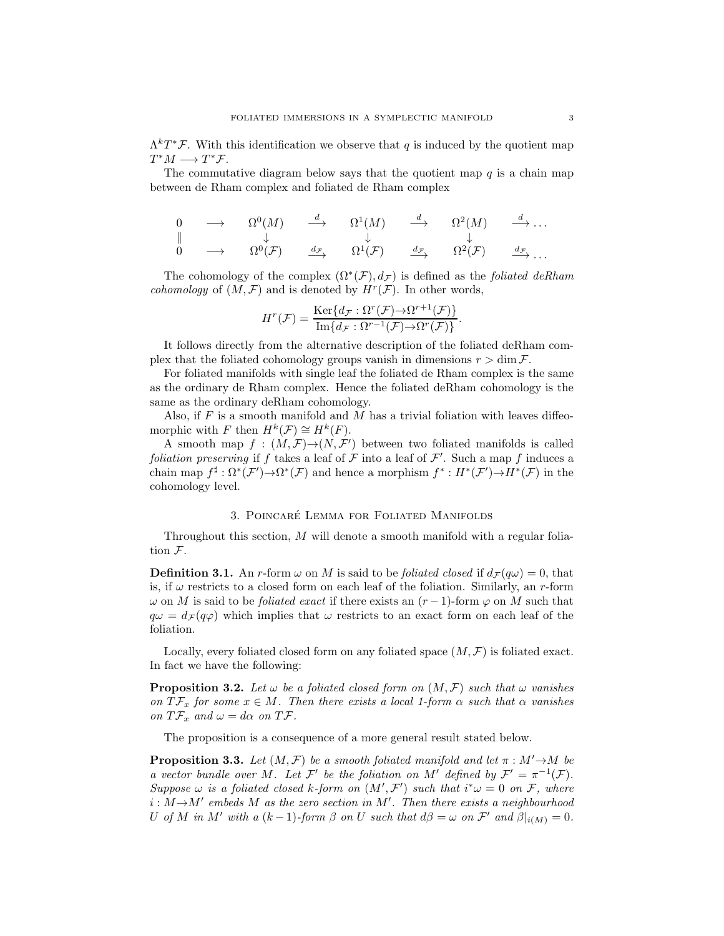$\Lambda^kT^*\mathcal{F}$ . With this identification we observe that q is induced by the quotient map  $T^*M \longrightarrow T^*\mathcal{F}.$ 

The commutative diagram below says that the quotient map  $q$  is a chain map between de Rham complex and foliated de Rham complex

$$
\begin{array}{ccccccccc}\n0 & \longrightarrow & \Omega^{0}(M) & \xrightarrow{d} & \Omega^{1}(M) & \xrightarrow{d} & \Omega^{2}(M) & \xrightarrow{d} \dots \\
\parallel & & \downarrow & & \downarrow & & \downarrow \\
0 & \longrightarrow & \Omega^{0}(\mathcal{F}) & \xrightarrow{d_{\mathcal{F}}} & \Omega^{1}(\mathcal{F}) & \xrightarrow{d_{\mathcal{F}}} & \Omega^{2}(\mathcal{F}) & \xrightarrow{d_{\mathcal{F}}} \dots\n\end{array}
$$

The cohomology of the complex  $(\Omega^*(\mathcal{F}), d_{\mathcal{F}})$  is defined as the *foliated deRham cohomology* of  $(M, \mathcal{F})$  and is denoted by  $H^r(\mathcal{F})$ . In other words,

$$
H^r(\mathcal{F}) = \frac{\operatorname{Ker}\{d_{\mathcal{F}} : \Omega^r(\mathcal{F}) \to \Omega^{r+1}(\mathcal{F})\}}{\operatorname{Im}\{d_{\mathcal{F}} : \Omega^{r-1}(\mathcal{F}) \to \Omega^r(\mathcal{F})\}}.
$$

It follows directly from the alternative description of the foliated deRham complex that the foliated cohomology groups vanish in dimensions  $r > \dim \mathcal{F}$ .

For foliated manifolds with single leaf the foliated de Rham complex is the same as the ordinary de Rham complex. Hence the foliated deRham cohomology is the same as the ordinary deRham cohomology.

Also, if  $F$  is a smooth manifold and  $M$  has a trivial foliation with leaves diffeomorphic with F then  $H^k(\mathcal{F}) \cong H^k(F)$ .

A smooth map  $f : (M, \mathcal{F}) \to (N, \mathcal{F}')$  between two foliated manifolds is called foliation preserving if f takes a leaf of  $\mathcal F$  into a leaf of  $\mathcal F'$ . Such a map f induces a chain map  $f^{\sharp}: \Omega^*(\mathcal{F}') \to \Omega^*(\mathcal{F})$  and hence a morphism  $f^*: H^*(\mathcal{F}') \to H^*(\mathcal{F})$  in the cohomology level.

## 3. POINCARÉ LEMMA FOR FOLIATED MANIFOLDS

Throughout this section, M will denote a smooth manifold with a regular foliation F.

**Definition 3.1.** An r-form  $\omega$  on M is said to be *foliated closed* if  $d_{\mathcal{F}}(q\omega) = 0$ , that is, if  $\omega$  restricts to a closed form on each leaf of the foliation. Similarly, an r-form  $\omega$  on M is said to be *foliated exact* if there exists an  $(r-1)$ -form  $\varphi$  on M such that  $q\omega = d_{\mathcal{F}}(q\varphi)$  which implies that  $\omega$  restricts to an exact form on each leaf of the foliation.

Locally, every foliated closed form on any foliated space  $(M, \mathcal{F})$  is foliated exact. In fact we have the following:

**Proposition 3.2.** Let  $\omega$  be a foliated closed form on  $(M, \mathcal{F})$  such that  $\omega$  vanishes on  $T\mathcal{F}_x$  for some  $x \in M$ . Then there exists a local 1-form  $\alpha$  such that  $\alpha$  vanishes on  $T\mathcal{F}_x$  and  $\omega = d\alpha$  on  $T\mathcal{F}$ .

The proposition is a consequence of a more general result stated below.

<span id="page-2-0"></span>**Proposition 3.3.** Let  $(M, \mathcal{F})$  be a smooth foliated manifold and let  $\pi : M' \rightarrow M$  be a vector bundle over M. Let F' be the foliation on M' defined by  $\mathcal{F}' = \pi^{-1}(\mathcal{F})$ . Suppose  $\omega$  is a foliated closed k-form on  $(M', \mathcal{F}')$  such that  $i^*\omega = 0$  on  $\mathcal{F}$ , where  $i : M \rightarrow M'$  embeds M as the zero section in M'. Then there exists a neighbourhood U of M in M' with a  $(k-1)$ -form  $\beta$  on U such that  $d\beta = \omega$  on  $\mathcal{F}'$  and  $\beta|_{i(M)} = 0$ .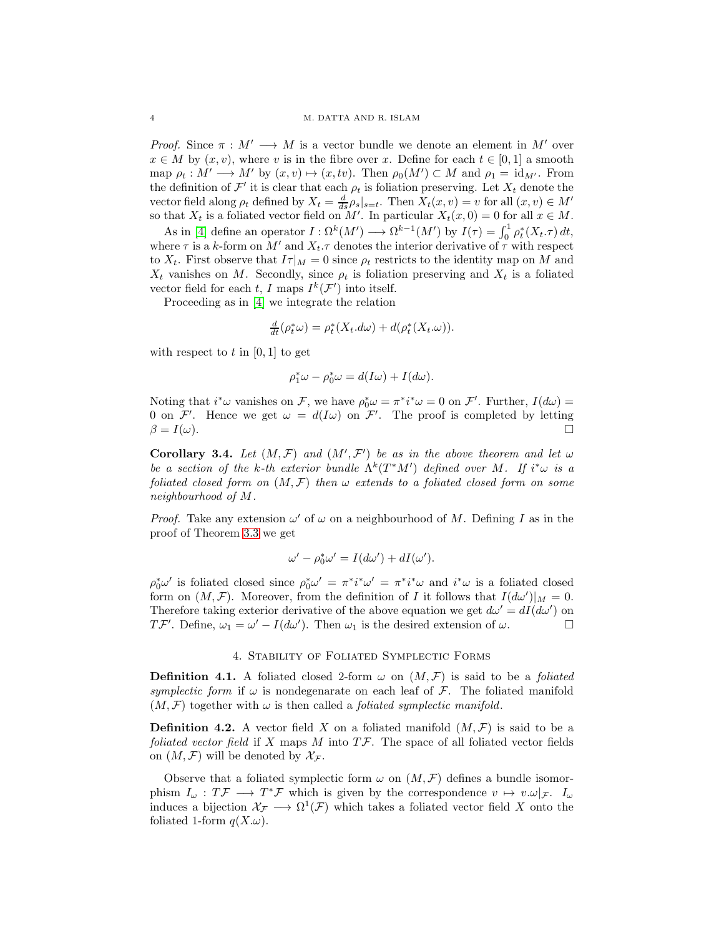*Proof.* Since  $\pi : M' \longrightarrow M$  is a vector bundle we denote an element in M' over  $x \in M$  by  $(x, v)$ , where v is in the fibre over x. Define for each  $t \in [0, 1]$  a smooth map  $\rho_t : M' \longrightarrow M'$  by  $(x, v) \mapsto (x, tv)$ . Then  $\rho_0(M') \subset M$  and  $\rho_1 = id_{M'}$ . From the definition of  $\mathcal{F}'$  it is clear that each  $\rho_t$  is foliation preserving. Let  $X_t$  denote the vector field along  $\rho_t$  defined by  $X_t = \frac{d}{ds} \rho_s|_{s=t}$ . Then  $X_t(x, v) = v$  for all  $(x, v) \in M'$ so that  $X_t$  is a foliated vector field on M'. In particular  $X_t(x, 0) = 0$  for all  $x \in M$ .

As in [\[4\]](#page-9-1) define an operator  $I : \Omega^k(M') \longrightarrow \Omega^{k-1}(M')$  by  $I(\tau) = \int_0^1 \rho_t^*(X_t \cdot \tau) dt$ , where  $\tau$  is a k-form on  $M'$  and  $X_t$ .  $\tau$  denotes the interior derivative of  $\tau$  with respect to  $X_t$ . First observe that  $I\tau|_M = 0$  since  $\rho_t$  restricts to the identity map on M and  $X_t$  vanishes on M. Secondly, since  $\rho_t$  is foliation preserving and  $X_t$  is a foliated vector field for each t, I maps  $I^k(\mathcal{F}')$  into itself.

Proceeding as in [\[4\]](#page-9-1) we integrate the relation

$$
\frac{d}{dt}(\rho_t^*\omega) = \rho_t^*(X_t.d\omega) + d(\rho_t^*(X_t.\omega)).
$$

with respect to  $t$  in [0, 1] to get

$$
\rho_1^*\omega - \rho_0^*\omega = d(I\omega) + I(d\omega).
$$

Noting that  $i^*\omega$  vanishes on F, we have  $\rho_0^*\omega = \pi^*i^*\omega = 0$  on F'. Further,  $I(d\omega) =$ 0 on F'. Hence we get  $\omega = d(I\omega)$  on F'. The proof is completed by letting  $\beta = I(\omega).$ 

<span id="page-3-0"></span>Corollary 3.4. Let  $(M, \mathcal{F})$  and  $(M', \mathcal{F}')$  be as in the above theorem and let  $\omega$ be a section of the k-th exterior bundle  $\Lambda^k(T^*M')$  defined over M. If  $i^*\omega$  is a foliated closed form on  $(M, \mathcal{F})$  then  $\omega$  extends to a foliated closed form on some neighbourhood of M.

*Proof.* Take any extension  $\omega'$  of  $\omega$  on a neighbourhood of M. Defining I as in the proof of Theorem [3.3](#page-2-0) we get

$$
\omega' - \rho_0^* \omega' = I(d\omega') + dI(\omega').
$$

 $\rho_0^*\omega'$  is foliated closed since  $\rho_0^*\omega' = \pi^* i^* \omega' = \pi^* i^* \omega$  and  $i^* \omega$  is a foliated closed form on  $(M, \mathcal{F})$ . Moreover, from the definition of I it follows that  $I(d\omega')|_M = 0$ . Therefore taking exterior derivative of the above equation we get  $d\omega' = dI(d\omega')$  on  $T\mathcal{F}'$ . Define,  $\omega_1 = \omega' - I(d\omega')$ . Then  $\omega_1$  is the desired extension of  $\omega$ .

## 4. Stability of Foliated Symplectic Forms

**Definition 4.1.** A foliated closed 2-form  $\omega$  on  $(M, \mathcal{F})$  is said to be a *foliated* symplectic form if  $\omega$  is nondegenarate on each leaf of F. The foliated manifold  $(M, \mathcal{F})$  together with  $\omega$  is then called a *foliated symplectic manifold*.

**Definition 4.2.** A vector field X on a foliated manifold  $(M, \mathcal{F})$  is said to be a foliated vector field if X maps M into  $T\mathcal{F}$ . The space of all foliated vector fields on  $(M, \mathcal{F})$  will be denoted by  $\mathcal{X}_{\mathcal{F}}$ .

Observe that a foliated symplectic form  $\omega$  on  $(M, \mathcal{F})$  defines a bundle isomorphism  $I_\omega : T \mathcal{F} \longrightarrow T^* \mathcal{F}$  which is given by the correspondence  $v \mapsto v \cdot \omega |_{\mathcal{F}}$ .  $I_\omega$ induces a bijection  $\mathcal{X}_{\mathcal{F}} \longrightarrow \Omega^1(\mathcal{F})$  which takes a foliated vector field X onto the foliated 1-form  $q(X,\omega)$ .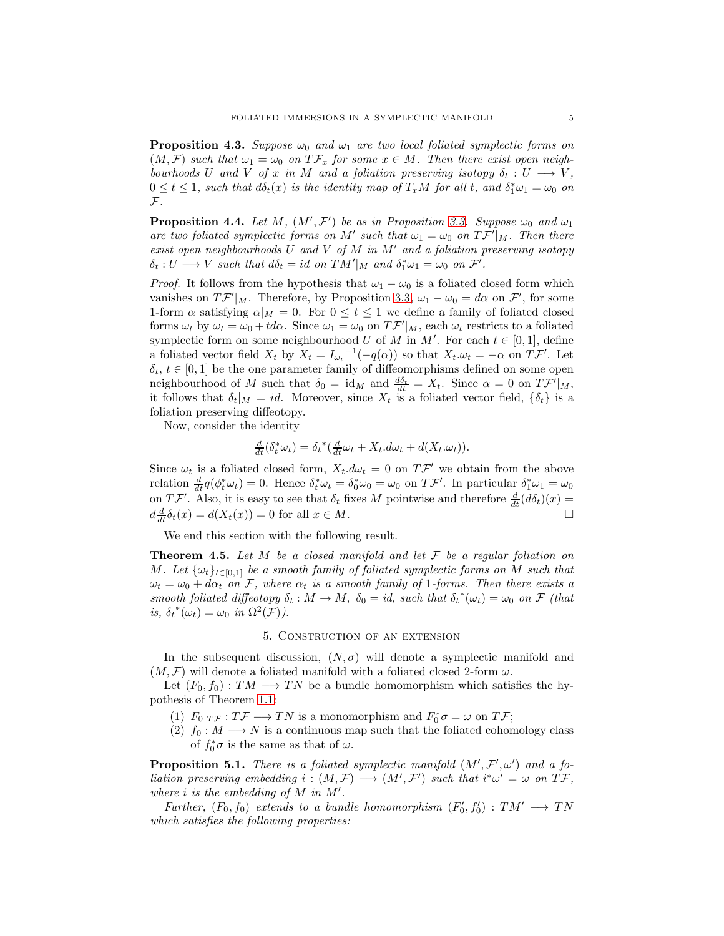<span id="page-4-1"></span>**Proposition 4.3.** Suppose  $\omega_0$  and  $\omega_1$  are two local foliated symplectic forms on  $(M, \mathcal{F})$  such that  $\omega_1 = \omega_0$  on  $T\mathcal{F}_x$  for some  $x \in M$ . Then there exist open neighbourhoods U and V of x in M and a foliation preserving isotopy  $\delta_t: U \longrightarrow V$ ,  $0 \le t \le 1$ , such that  $d\delta_t(x)$  is the identity map of  $T_xM$  for all t, and  $\delta_1^*\omega_1 = \omega_0$  on  $\mathcal{F}.$ 

<span id="page-4-0"></span>**Proposition 4.4.** Let M,  $(M', \mathcal{F}')$  be as in Proposition [3.3.](#page-2-0) Suppose  $\omega_0$  and  $\omega_1$ are two foliated symplectic forms on M' such that  $\omega_1 = \omega_0$  on  $T\mathcal{F}'|_M$ . Then there exist open neighbourhoods  $U$  and  $V$  of  $M$  in  $M'$  and a foliation preserving isotopy  $\delta_t: U \longrightarrow V$  such that  $d\delta_t = id$  on  $TM'|_M$  and  $\delta_1^* \omega_1 = \omega_0$  on  $\mathcal{F}'.$ 

*Proof.* It follows from the hypothesis that  $\omega_1 - \omega_0$  is a foliated closed form which vanishes on  $T\mathcal{F}'|_M$ . Therefore, by Proposition [3.3,](#page-2-0)  $\omega_1 - \omega_0 = d\alpha$  on  $\mathcal{F}'$ , for some 1-form  $\alpha$  satisfying  $\alpha|_M = 0$ . For  $0 \le t \le 1$  we define a family of foliated closed forms  $\omega_t$  by  $\omega_t = \omega_0 + td\alpha$ . Since  $\omega_1 = \omega_0$  on  $T\mathcal{F}'|_M$ , each  $\omega_t$  restricts to a foliated symplectic form on some neighbourhood U of M in M'. For each  $t \in [0,1]$ , define a foliated vector field  $X_t$  by  $X_t = I_{\omega_t}^{-1}(-q(\alpha))$  so that  $X_t \cdot \omega_t = -\alpha$  on  $T \mathcal{F}'$ . Let  $\delta_t, t \in [0,1]$  be the one parameter family of diffeomorphisms defined on some open neighbourhood of M such that  $\delta_0 = id_M$  and  $\frac{d\delta_t}{dt} = X_t$ . Since  $\alpha = 0$  on  $T\mathcal{F}'|_M$ , it follows that  $\delta_t|_M = id$ . Moreover, since  $X_t$  is a foliated vector field,  $\{\delta_t\}$  is a foliation preserving diffeotopy.

Now, consider the identity

$$
\frac{d}{dt}(\delta_t^* \omega_t) = \delta_t^* (\frac{d}{dt} \omega_t + X_t \cdot d\omega_t + d(X_t \cdot \omega_t)).
$$

Since  $\omega_t$  is a foliated closed form,  $X_t. d\omega_t = 0$  on  $T \mathcal{F}'$  we obtain from the above relation  $\frac{d}{dt}q(\phi_t^*\omega_t) = 0$ . Hence  $\delta_t^*\omega_t = \delta_0^*\omega_0 = \omega_0$  on  $T\mathcal{F}'$ . In particular  $\delta_1^*\omega_1 = \omega_0$ on  $T\mathcal{F}'$ . Also, it is easy to see that  $\delta_t$  fixes M pointwise and therefore  $\frac{d}{dt}(d\delta_t)(x) =$  $d\frac{d}{dt}\delta_t(x) = d(X_t(x)) = 0$  for all  $x \in M$ .

We end this section with the following result.

**Theorem 4.5.** Let M be a closed manifold and let  $\mathcal F$  be a regular foliation on M. Let  $\{\omega_t\}_{t\in[0,1]}$  be a smooth family of foliated symplectic forms on M such that  $\omega_t = \omega_0 + d\alpha_t$  on F, where  $\alpha_t$  is a smooth family of 1-forms. Then there exists a smooth foliated diffeotopy  $\delta_t : M \to M$ ,  $\delta_0 = id$ , such that  $\delta_t^*(\omega_t) = \omega_0$  on F (that is,  $\delta_t^*(\omega_t) = \omega_0$  in  $\Omega^2(\mathcal{F})$ ).

## 5. Construction of an extension

In the subsequent discussion,  $(N, \sigma)$  will denote a symplectic manifold and  $(M, \mathcal{F})$  will denote a foliated manifold with a foliated closed 2-form  $\omega$ .

Let  $(F_0, f_0) : TM \longrightarrow TN$  be a bundle homomorphism which satisfies the hypothesis of Theorem [1.1:](#page-0-0)

- (1)  $F_0|_{T\mathcal{F}} : T\mathcal{F} \longrightarrow TN$  is a monomorphism and  $F_0^*\sigma = \omega$  on  $T\mathcal{F}$ ;
- (2)  $f_0 : M \longrightarrow N$  is a continuous map such that the foliated cohomology class of  $f_0^* \sigma$  is the same as that of  $\omega$ .

**Proposition 5.1.** There is a foliated symplectic manifold  $(M', \mathcal{F}', \omega')$  and a foliation preserving embedding  $i:(M,\mathcal{F})\longrightarrow (M',\mathcal{F}')$  such that  $i^*\omega'=\omega$  on  $T\mathcal{F}$ , where  $i$  is the embedding of  $M$  in  $M'$ .

Further,  $(F_0, f_0)$  extends to a bundle homomorphism  $(F'_0, f'_0)$ :  $TM' \longrightarrow TN$ which satisfies the following properties: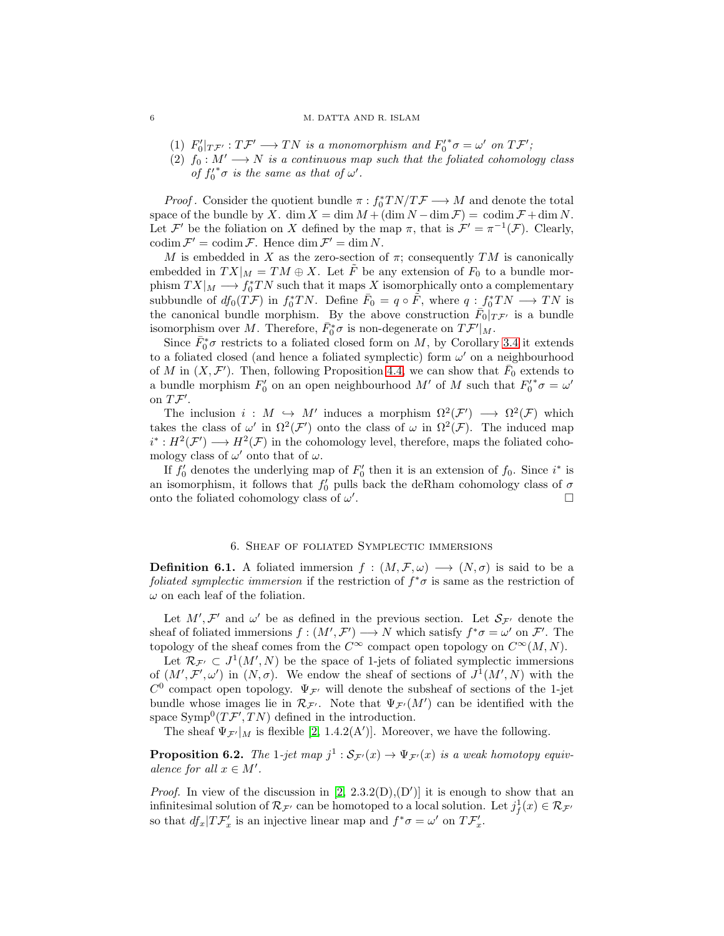#### 6 M. DATTA AND R. ISLAM

- <span id="page-5-0"></span>(1)  $F'_0|_{T\mathcal{F}'} : T\mathcal{F}' \longrightarrow TN$  is a monomorphism and  $F'_0{}^* \sigma = \omega'$  on  $T\mathcal{F}'$ ;
- (2)  $f_0: M' \longrightarrow N$  is a continuous map such that the foliated cohomology class of  $f_0^* \sigma$  is the same as that of  $\omega'$ .

*Proof.* Consider the quotient bundle  $\pi : f_0^*TN/T\mathcal{F} \longrightarrow M$  and denote the total space of the bundle by X. dim  $X = \dim M + (\dim N - \dim \mathcal{F}) = \operatorname{codim} \mathcal{F} + \dim N$ . Let  $\mathcal{F}'$  be the foliation on X defined by the map  $\pi$ , that is  $\mathcal{F}' = \pi^{-1}(\mathcal{F})$ . Clearly,  $\operatorname{codim} \mathcal{F}' = \operatorname{codim} \mathcal{F}$ . Hence  $\dim \mathcal{F}' = \dim N$ .

M is embedded in X as the zero-section of  $\pi$ ; consequently TM is canonically embedded in  $TX|_M = TM \oplus X$ . Let F be any extension of  $F_0$  to a bundle morphism  $TX|_M \longrightarrow f_0^*TN$  such that it maps X isomorphically onto a complementary subbundle of  $df_0(T\mathcal{F})$  in  $f_0^*TN$ . Define  $\bar{F}_0 = q \circ \tilde{F}$ , where  $q : f_0^*TN \longrightarrow TN$  is the canonical bundle morphism. By the above construction  $\bar{F}_0|_{T\mathcal{F}'}$  is a bundle isomorphism over M. Therefore,  $\bar{F}_0^*\sigma$  is non-degenerate on  $T\mathcal{F}'|_M$ .

Since  $\bar{F}_0^* \sigma$  restricts to a foliated closed form on M, by Corollary [3.4](#page-3-0) it extends to a foliated closed (and hence a foliated symplectic) form  $\omega'$  on a neighbourhood of M in  $(X, \mathcal{F}')$ . Then, following Proposition [4.4,](#page-4-0) we can show that  $\bar{F}_0$  extends to a bundle morphism  $F'_0$  on an open neighbourhood M' of M such that  $F'_0{}^* \sigma = \omega'$ on  $T\mathcal{F}^{\prime}$ .

The inclusion  $i: M \hookrightarrow M'$  induces a morphism  $\Omega^2(\mathcal{F}') \longrightarrow \Omega^2(\mathcal{F})$  which takes the class of  $\omega'$  in  $\Omega^2(\mathcal{F}')$  onto the class of  $\omega$  in  $\Omega^2(\mathcal{F})$ . The induced map  $i^*: H^2(\mathcal{F}') \longrightarrow H^2(\mathcal{F})$  in the cohomology level, therefore, maps the foliated cohomology class of  $\omega'$  onto that of  $\omega$ .

If  $f'_0$  denotes the underlying map of  $F'_0$  then it is an extension of  $f_0$ . Since  $i^*$  is an isomorphism, it follows that  $f_0'$  pulls back the deRham cohomology class of  $\sigma$ onto the foliated cohomology class of  $\omega'$ . В последните поставите на примерение и производите на примерения в последните поставите на примерения в сове<br>В поставите поставите на примерение и поставите поставите на примерение и поставите на примерение и поставите

## 6. Sheaf of foliated Symplectic immersions

**Definition 6.1.** A foliated immersion  $f : (M, \mathcal{F}, \omega) \longrightarrow (N, \sigma)$  is said to be a foliated symplectic immersion if the restriction of  $f^*\sigma$  is same as the restriction of  $\omega$  on each leaf of the foliation.

Let  $M', \mathcal{F}'$  and  $\omega'$  be as defined in the previous section. Let  $\mathcal{S}_{\mathcal{F}'}$  denote the sheaf of foliated immersions  $f:(M',\mathcal{F}') \longrightarrow N$  which satisfy  $f^*\sigma = \omega'$  on  $\mathcal{F}'$ . The topology of the sheaf comes from the  $C^{\infty}$  compact open topology on  $C^{\infty}(M, N)$ .

Let  $\mathcal{R}_{\mathcal{F}'} \subset J^1(M',N)$  be the space of 1-jets of foliated symplectic immersions of  $(M', \mathcal{F}', \omega')$  in  $(N, \sigma)$ . We endow the sheaf of sections of  $J^1(M', N)$  with the  $C^0$  compact open topology.  $\Psi_{\mathcal{F}'}$  will denote the subsheaf of sections of the 1-jet bundle whose images lie in  $\mathcal{R}_{\mathcal{F}'}$ . Note that  $\Psi_{\mathcal{F}'}(M')$  can be identified with the space  $\text{Symp}^0(T\mathcal{F}', TN)$  defined in the introduction.

The sheaf  $\Psi_{\mathcal{F}'}|_M$  is flexible [\[2,](#page-9-0) 1.4.2(A')]. Moreover, we have the following.

**Proposition 6.2.** The 1-jet map  $j^1 : S_{\mathcal{F}'}(x) \to \Psi_{\mathcal{F}'}(x)$  is a weak homotopy equivalence for all  $x \in M'$ .

*Proof.* In view of the discussion in  $[2, 2.3.2(D), (D')]$  it is enough to show that an infinitesimal solution of  $\mathcal{R}_{\mathcal{F}'}$  can be homotoped to a local solution. Let  $j_f^1(x) \in \mathcal{R}_{\mathcal{F}'}$ so that  $df_x|T\mathcal{F}'_x$  is an injective linear map and  $f^*\sigma = \omega'$  on  $T\mathcal{F}'_x$ .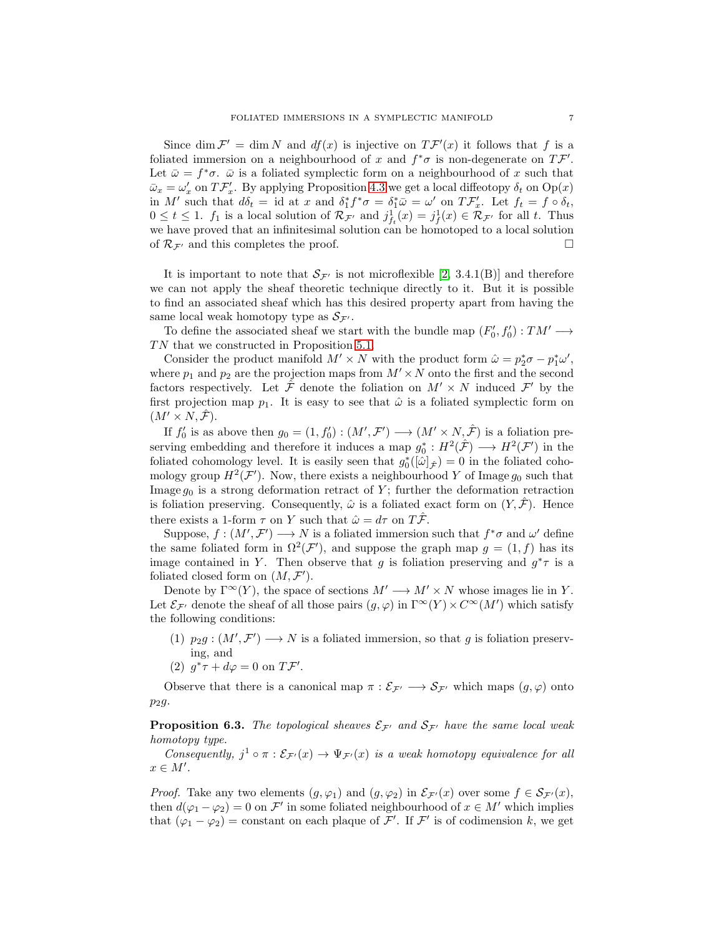Since dim  $\mathcal{F}' = \dim N$  and  $df(x)$  is injective on  $T\mathcal{F}'(x)$  it follows that f is a foliated immersion on a neighbourhood of x and  $f^*\sigma$  is non-degenerate on  $T\mathcal{F}'$ . Let  $\bar{\omega} = f^* \sigma$ .  $\bar{\omega}$  is a foliated symplectic form on a neighbourhood of x such that  $\bar{\omega}_x = \omega'_x$  on  $T\mathcal{F}'_x$ . By applying Proposition [4.3](#page-4-1) we get a local diffeotopy  $\delta_t$  on  $\text{Op}(x)$ in M' such that  $d\delta_t = id$  at x and  $\delta_1^* f^* \sigma = \delta_1^* \bar{\omega} = \omega'$  on  $T \mathcal{F}'_x$ . Let  $f_t = f \circ \delta_t$ ,  $0 \le t \le 1$ .  $f_1$  is a local solution of  $\mathcal{R}_{\mathcal{F}'}$  and  $j_{f_t}^1(x) = j_f^1(x) \in \mathcal{R}_{\mathcal{F}'}$  for all t. Thus we have proved that an infinitesimal solution can be homotoped to a local solution of  $\mathcal{R}_{\mathcal{F}'}$  and this completes the proof.

It is important to note that  $S_{\mathcal{F}'}$  is not microflexible [\[2,](#page-9-0) 3.4.1(B)] and therefore we can not apply the sheaf theoretic technique directly to it. But it is possible to find an associated sheaf which has this desired property apart from having the same local weak homotopy type as  $S_{\mathcal{F}'}$ .

To define the associated sheaf we start with the bundle map  $(F'_0, f'_0) : TM' \longrightarrow$  $TN$  that we constructed in Proposition [5.1.](#page-5-0)

Consider the product manifold  $M' \times N$  with the product form  $\hat{\omega} = p_2^* \sigma - p_1^* \omega'$ , where  $p_1$  and  $p_2$  are the projection maps from  $M' \times N$  onto the first and the second factors respectively. Let  $\hat{\mathcal{F}}$  denote the foliation on  $M' \times N$  induced  $\mathcal{F}'$  by the first projection map  $p_1$ . It is easy to see that  $\hat{\omega}$  is a foliated symplectic form on  $(M' \times N, \mathcal{F}).$ 

If  $f'_0$  is as above then  $g_0 = (1, f'_0) : (M', \mathcal{F}') \longrightarrow (M' \times N, \hat{\mathcal{F}})$  is a foliation preserving embedding and therefore it induces a map  $g_0^*: H^2(\hat{\mathcal{F}}) \longrightarrow H^2(\mathcal{F}')$  in the foliated cohomology level. It is easily seen that  $g_0^*([\hat{\omega}]_{\hat{\mathcal{F}}}) = 0$  in the foliated cohomology group  $H^2(\mathcal{F}')$ . Now, there exists a neighbourhood Y of Image  $g_0$  such that Image  $g_0$  is a strong deformation retract of Y; further the deformation retraction is foliation preserving. Consequently,  $\hat{\omega}$  is a foliated exact form on  $(Y, \hat{\mathcal{F}})$ . Hence there exists a 1-form  $\tau$  on Y such that  $\hat{\omega} = d\tau$  on  $T\hat{\mathcal{F}}$ .

Suppose,  $f : (M', \mathcal{F}') \longrightarrow N$  is a foliated immersion such that  $f^* \sigma$  and  $\omega'$  define the same foliated form in  $\Omega^2(\mathcal{F}')$ , and suppose the graph map  $g = (1, f)$  has its image contained in Y. Then observe that g is foliation preserving and  $g^*\tau$  is a foliated closed form on  $(M, \mathcal{F}')$ .

Denote by  $\Gamma^{\infty}(Y)$ , the space of sections  $M' \longrightarrow M' \times N$  whose images lie in Y. Let  $\mathcal{E}_{\mathcal{F}'}$  denote the sheaf of all those pairs  $(g, \varphi)$  in  $\Gamma^\infty(Y) \times C^\infty(M')$  which satisfy the following conditions:

- (1)  $p_2g:(M',\mathcal{F}')\longrightarrow N$  is a foliated immersion, so that g is foliation preserving, and
- (2)  $g^*\tau + d\varphi = 0$  on  $T\mathcal{F}'$ .

Observe that there is a canonical map  $\pi : \mathcal{E}_{\mathcal{F}'} \longrightarrow \mathcal{S}_{\mathcal{F}'}$  which maps  $(g, \varphi)$  onto  $p_2g$ .

<span id="page-6-0"></span>**Proposition 6.3.** The topological sheaves  $\mathcal{E}_{\mathcal{F}'}$  and  $\mathcal{S}_{\mathcal{F}'}$  have the same local weak homotopy type.

Consequently,  $j^1 \circ \pi : \mathcal{E}_{\mathcal{F}'}(x) \to \Psi_{\mathcal{F}'}(x)$  is a weak homotopy equivalence for all  $x \in M'.$ 

*Proof.* Take any two elements  $(g, \varphi_1)$  and  $(g, \varphi_2)$  in  $\mathcal{E}_{\mathcal{F}'}(x)$  over some  $f \in \mathcal{S}_{\mathcal{F}'}(x)$ , then  $d(\varphi_1 - \varphi_2) = 0$  on  $\mathcal{F}'$  in some foliated neighbourhood of  $x \in M'$  which implies that  $(\varphi_1 - \varphi_2) = \text{constant}$  on each plaque of  $\mathcal{F}'$ . If  $\mathcal{F}'$  is of codimension k, we get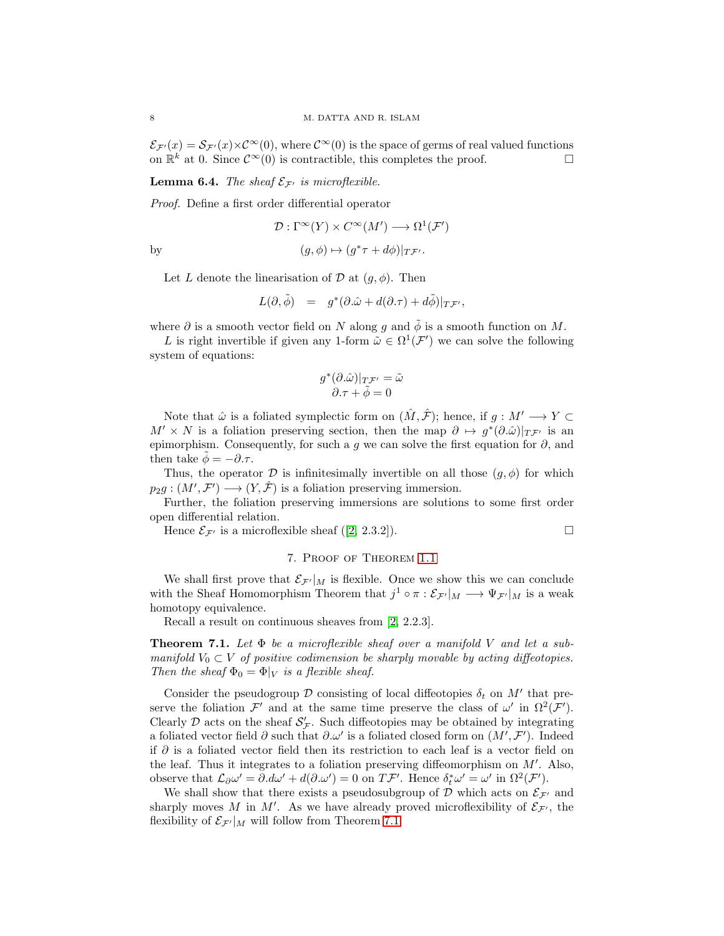$\mathcal{E}_{\mathcal{F}'}(x) = \mathcal{S}_{\mathcal{F}'}(x) \times \mathcal{C}^{\infty}(0)$ , where  $\mathcal{C}^{\infty}(0)$  is the space of germs of real valued functions on  $\mathbb{R}^k$  at 0. Since  $\mathcal{C}^{\infty}(0)$  is contractible, this completes the proof.

<span id="page-7-1"></span>**Lemma 6.4.** The sheaf  $\mathcal{E}_{\mathcal{F}'}$  is microflexible.

Proof. Define a first order differential operator

$$
\mathcal{D}: \Gamma^\infty(Y) \times C^\infty(M') \longrightarrow \Omega^1(\mathcal{F}')
$$

by 
$$
(g, \phi) \mapsto (g^*\tau + d\phi)|_{T\mathcal{F}'}.
$$

Let L denote the linearisation of  $\mathcal{D}$  at  $(g, \phi)$ . Then

$$
L(\partial, \tilde{\phi}) = g^*(\partial \hat{\omega} + d(\partial \tau) + d\tilde{\phi})|_{T\mathcal{F}'},
$$

where  $\partial$  is a smooth vector field on N along q and  $\tilde{\phi}$  is a smooth function on M.

L is right invertible if given any 1-form  $\tilde{\omega} \in \Omega^1(\mathcal{F}')$  we can solve the following system of equations:

$$
\begin{array}{c}g^*(\partial.\hat{\omega})|_{T\mathcal{F}'}=\tilde{\omega}\\ \partial.\tau+\tilde{\phi}=0\end{array}
$$

Note that  $\hat{\omega}$  is a foliated symplectic form on  $(\hat{M}, \hat{\mathcal{F}})$ ; hence, if  $g : M' \longrightarrow Y \subset$  $M' \times N$  is a foliation preserving section, then the map  $\partial \mapsto g^*(\partial \hat{\omega})|_{T_{\mathcal{F}}'}$  is an epimorphism. Consequently, for such a g we can solve the first equation for  $\partial$ , and then take  $\phi = -\partial \tau$ .

Thus, the operator  $\mathcal D$  is infinitesimally invertible on all those  $(g, \phi)$  for which  $p_2g:(M',\mathcal{F}')\longrightarrow (Y,\hat{\mathcal{F}})$  is a foliation preserving immersion.

Further, the foliation preserving immersions are solutions to some first order open differential relation.

Hence $\mathcal{E}_{\mathcal{F}'}$  is a microflexible sheaf ([\[2,](#page-9-0) 2.3.2]).

## 7. Proof of Theorem [1.1](#page-0-0)

We shall first prove that  $\mathcal{E}_{\mathcal{F}'}|_M$  is flexible. Once we show this we can conclude with the Sheaf Homomorphism Theorem that  $j^1 \circ \pi : \mathcal{E}_{\mathcal{F}'}|_M \longrightarrow \Psi_{\mathcal{F}'}|_M$  is a weak homotopy equivalence.

Recall a result on continuous sheaves from [\[2,](#page-9-0) 2.2.3].

<span id="page-7-0"></span>**Theorem 7.1.** Let  $\Phi$  be a microflexible sheaf over a manifold V and let a submanifold  $V_0 \subset V$  of positive codimension be sharply movable by acting diffeotopies. Then the sheaf  $\Phi_0 = \Phi|_V$  is a flexible sheaf.

Consider the pseudogroup  $\mathcal D$  consisting of local diffeotopies  $\delta_t$  on  $M'$  that preserve the foliation  $\mathcal{F}'$  and at the same time preserve the class of  $\omega'$  in  $\Omega^2(\mathcal{F}')$ . Clearly  $\mathcal D$  acts on the sheaf  $\mathcal S_{\mathcal F}$ . Such diffeotopies may be obtained by integrating a foliated vector field  $\partial$  such that  $\partial \omega'$  is a foliated closed form on  $(M', \mathcal{F}')$ . Indeed if ∂ is a foliated vector field then its restriction to each leaf is a vector field on the leaf. Thus it integrates to a foliation preserving diffeomorphism on  $M'$ . Also, observe that  $\mathcal{L}_{\partial}\omega' = \partial \Delta \omega' + d(\partial \Delta \omega') = 0$  on  $T\mathcal{F}'$ . Hence  $\delta_t^* \omega' = \omega'$  in  $\Omega^2(\mathcal{F}')$ .

We shall show that there exists a pseudosubgroup of  $D$  which acts on  $\mathcal{E}_{\mathcal{F}'}$  and sharply moves M in M'. As we have already proved microflexibility of  $\mathcal{E}_{\mathcal{F}'}$ , the flexibility of  $\mathcal{E}_{\mathcal{F}'}|_M$  will follow from Theorem [7.1.](#page-7-0)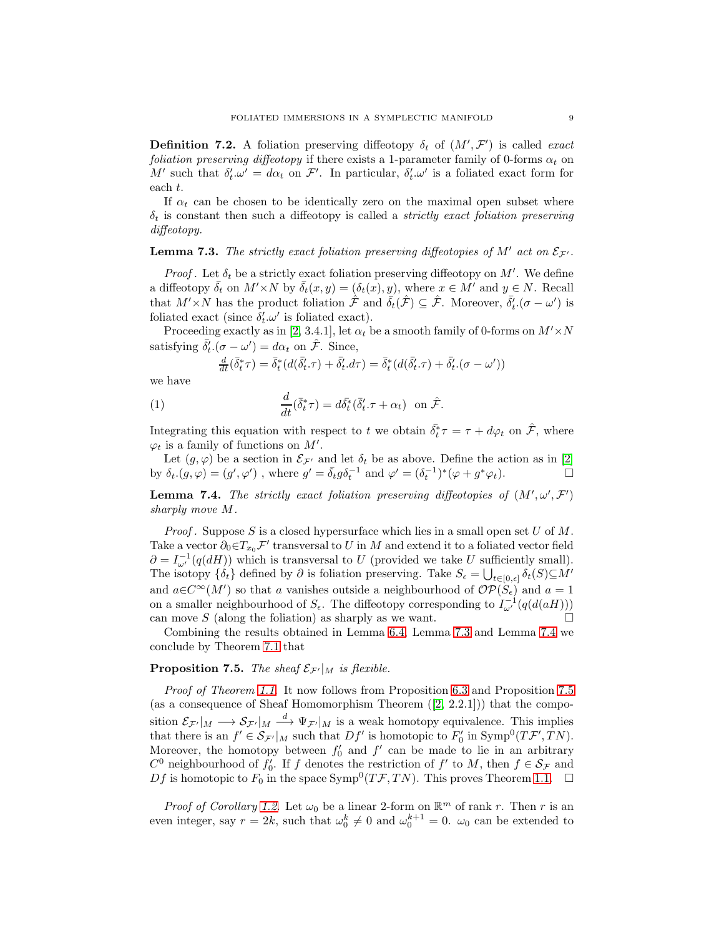**Definition 7.2.** A foliation preserving diffeotopy  $\delta_t$  of  $(M', \mathcal{F}')$  is called exact foliation preserving diffeotopy if there exists a 1-parameter family of 0-forms  $\alpha_t$  on M' such that  $\delta'_t \omega' = d\alpha_t$  on F'. In particular,  $\delta'_t \omega'$  is a foliated exact form for each t.

If  $\alpha_t$  can be chosen to be identically zero on the maximal open subset where  $\delta_t$  is constant then such a diffeotopy is called a *strictly exact foliation preserving* diffeotopy.

# <span id="page-8-0"></span>**Lemma 7.3.** The strictly exact foliation preserving diffeotopies of  $M'$  act on  $\mathcal{E}_{\mathcal{F}'}$ .

*Proof.* Let  $\delta_t$  be a strictly exact foliation preserving diffeotopy on M'. We define a diffeotopy  $\bar{\delta}_t$  on  $M' \times N$  by  $\bar{\delta}_t(x, y) = (\delta_t(x), y)$ , where  $x \in M'$  and  $y \in N$ . Recall that  $M' \times N$  has the product foliation  $\hat{\mathcal{F}}$  and  $\bar{\delta}_t(\hat{\mathcal{F}}) \subseteq \hat{\mathcal{F}}$ . Moreover,  $\bar{\delta}'_t$ .  $(\sigma - \omega')$  is foliated exact (since  $\delta'_t \omega'$  is foliated exact).

Proceeding exactly as in [\[2,](#page-9-0) 3.4.1], let  $\alpha_t$  be a smooth family of 0-forms on  $M' \times N$ satisfying  $\bar{\delta}'_t$  ( $\sigma - \omega'$ ) =  $d\alpha_t$  on  $\hat{\mathcal{F}}$ . Since,

$$
\tfrac{d}{dt}(\bar{\delta}_t^*\tau) = \bar{\delta}_t^*\big(d(\bar{\delta}_t'\cdot\tau) + \bar{\delta}_t'\cdot d\tau\big) = \bar{\delta}_t^*\big(d(\bar{\delta}_t'\cdot\tau) + \bar{\delta}_t'\cdot(\sigma-\omega')\big)
$$

we have

(1) 
$$
\frac{d}{dt}(\bar{\delta}_t^*\tau) = d\bar{\delta}_t^*(\bar{\delta}'_t.\tau + \alpha_t) \text{ on } \hat{\mathcal{F}}.
$$

Integrating this equation with respect to t we obtain  $\bar{\delta_t}^* \tau = \tau + d\varphi_t$  on  $\hat{\mathcal{F}}$ , where  $\varphi_t$  is a family of functions on  $M'$ .

Let  $(g, \varphi)$  be a section in  $\mathcal{E}_{\mathcal{F}'}$  and let  $\delta_t$  be as above. Define the action as in [\[2\]](#page-9-0) by  $\delta_t(g,\varphi) = (g',\varphi')$ , where  $g' = \bar{\delta}_t g \delta_t^{-1}$  and  $\varphi' = (\delta_t^{-1})^*(\varphi + g^*\varphi_t)$ .

<span id="page-8-1"></span>**Lemma 7.4.** The strictly exact foliation preserving diffeotopies of  $(M', \omega', \mathcal{F}')$ sharply move M.

*Proof.* Suppose S is a closed hypersurface which lies in a small open set  $U$  of  $M$ . Take a vector  $\partial_0 \in T_{x_0} \mathcal{F}'$  transversal to U in M and extend it to a foliated vector field  $\partial = I_{\omega'}^{-1}(q(dH))$  which is transversal to U (provided we take U sufficiently small). The isotopy  $\{\delta_t\}$  defined by  $\partial$  is foliation preserving. Take  $S_{\epsilon} = \bigcup_{t \in [0,\epsilon]} \delta_t(S) \subseteq M'$ and  $a \in C^{\infty}(M')$  so that a vanishes outside a neighbourhood of  $\mathcal{OP}(\dot{S}_{\epsilon})$  and  $a = 1$ on a smaller neighbourhood of  $S_{\epsilon}$ . The diffeotopy corresponding to  $I_{\omega'}^{-1}(q(d(aH)))$ can move  $S$  (along the foliation) as sharply as we want.

Combining the results obtained in Lemma [6.4,](#page-7-1) Lemma [7.3](#page-8-0) and Lemma [7.4](#page-8-1) we conclude by Theorem [7.1](#page-7-0) that

## <span id="page-8-2"></span>**Proposition 7.5.** The sheaf  $\mathcal{E}_{\mathcal{F}'}|_M$  is flexible.

Proof of Theorem [1.1](#page-0-0). It now follows from Proposition [6.3](#page-6-0) and Proposition [7.5](#page-8-2) (asa consequence of Sheaf Homomorphism Theorem  $([2, 2.2.1])$  $([2, 2.2.1])$  $([2, 2.2.1])$ ) that the composition  $\mathcal{E}_{\mathcal{F}'}|_M \longrightarrow \mathcal{S}_{\mathcal{F}'}|_M \stackrel{d}{\longrightarrow} \Psi_{\mathcal{F}'}|_M$  is a weak homotopy equivalence. This implies that there is an  $f' \in \mathcal{S}_{\mathcal{F}'}|_M$  such that  $Df'$  is homotopic to  $F'_0$  in  $\text{Symp}^0(T\mathcal{F}', TN)$ . Moreover, the homotopy between  $f_0'$  and  $f'$  can be made to lie in an arbitrary  $C^0$  neighbourhood of  $f'_0$ . If f denotes the restriction of  $f'$  to M, then  $f \in \mathcal{S}_{\mathcal{F}}$  and Df is homotopic to  $F_0$  in the space Symp<sup>0</sup> $(T\mathcal{F}, TN)$ . This proves Theorem [1.1.](#page-0-0)  $\Box$ 

*Proof of Corollary [1.2](#page-1-0).* Let  $\omega_0$  be a linear 2-form on  $\mathbb{R}^m$  of rank r. Then r is an even integer, say  $r = 2k$ , such that  $\omega_0^k \neq 0$  and  $\omega_0^{k+1} = 0$ .  $\omega_0$  can be extended to